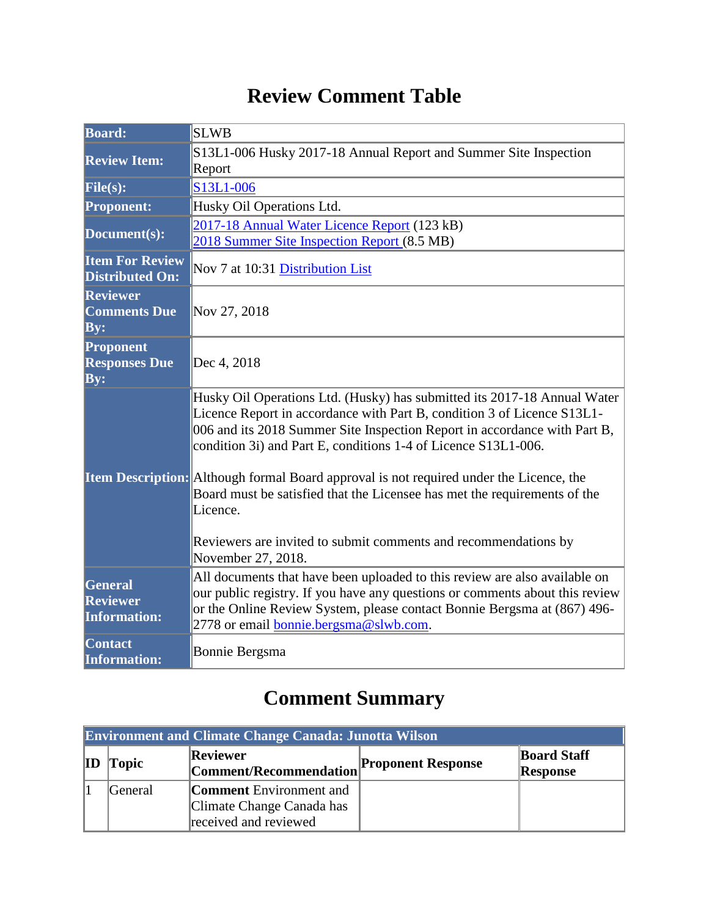## **Review Comment Table**

| <b>Board:</b>                                     | <b>SLWB</b>                                                                                                                                                                                                                                                                                                                                                                                                                                                                                                                                                                     |  |  |
|---------------------------------------------------|---------------------------------------------------------------------------------------------------------------------------------------------------------------------------------------------------------------------------------------------------------------------------------------------------------------------------------------------------------------------------------------------------------------------------------------------------------------------------------------------------------------------------------------------------------------------------------|--|--|
| <b>Review Item:</b>                               | S13L1-006 Husky 2017-18 Annual Report and Summer Site Inspection<br>Report                                                                                                                                                                                                                                                                                                                                                                                                                                                                                                      |  |  |
| File(s):                                          | S13L1-006                                                                                                                                                                                                                                                                                                                                                                                                                                                                                                                                                                       |  |  |
| <b>Proponent:</b>                                 | Husky Oil Operations Ltd.                                                                                                                                                                                                                                                                                                                                                                                                                                                                                                                                                       |  |  |
| Document(s):                                      | 2017-18 Annual Water Licence Report (123 kB)<br>2018 Summer Site Inspection Report (8.5 MB)                                                                                                                                                                                                                                                                                                                                                                                                                                                                                     |  |  |
| <b>Item For Review</b><br><b>Distributed On:</b>  | Nov 7 at 10:31 Distribution List                                                                                                                                                                                                                                                                                                                                                                                                                                                                                                                                                |  |  |
| <b>Reviewer</b><br><b>Comments Due</b><br>By:     | Nov 27, 2018                                                                                                                                                                                                                                                                                                                                                                                                                                                                                                                                                                    |  |  |
| Proponent<br><b>Responses Due</b><br>By:          | Dec 4, 2018                                                                                                                                                                                                                                                                                                                                                                                                                                                                                                                                                                     |  |  |
|                                                   | Husky Oil Operations Ltd. (Husky) has submitted its 2017-18 Annual Water<br>Licence Report in accordance with Part B, condition 3 of Licence S13L1-<br>006 and its 2018 Summer Site Inspection Report in accordance with Part B,<br>condition 3i) and Part E, conditions 1-4 of Licence S13L1-006.<br>Item Description: Although formal Board approval is not required under the Licence, the<br>Board must be satisfied that the Licensee has met the requirements of the<br>Licence.<br>Reviewers are invited to submit comments and recommendations by<br>November 27, 2018. |  |  |
| General<br><b>Reviewer</b><br><b>Information:</b> | All documents that have been uploaded to this review are also available on<br>our public registry. If you have any questions or comments about this review<br>or the Online Review System, please contact Bonnie Bergsma at (867) 496-<br>2778 or email <b>bonnie</b> .bergsma@slwb.com.                                                                                                                                                                                                                                                                                        |  |  |
| <b>Contact</b><br><b>Information:</b>             | Bonnie Bergsma                                                                                                                                                                                                                                                                                                                                                                                                                                                                                                                                                                  |  |  |

# **Comment Summary**

| <b>Environment and Climate Change Canada: Junotta Wilson</b> |         |                                                                                      |                           |                                       |
|--------------------------------------------------------------|---------|--------------------------------------------------------------------------------------|---------------------------|---------------------------------------|
| $\mathbf{ID}$                                                | Topic   | Reviewer<br>Comment/Recommendation                                                   | <b>Proponent Response</b> | <b>Board Staff</b><br><b>Response</b> |
|                                                              | General | <b>Comment</b> Environment and<br>Climate Change Canada has<br>received and reviewed |                           |                                       |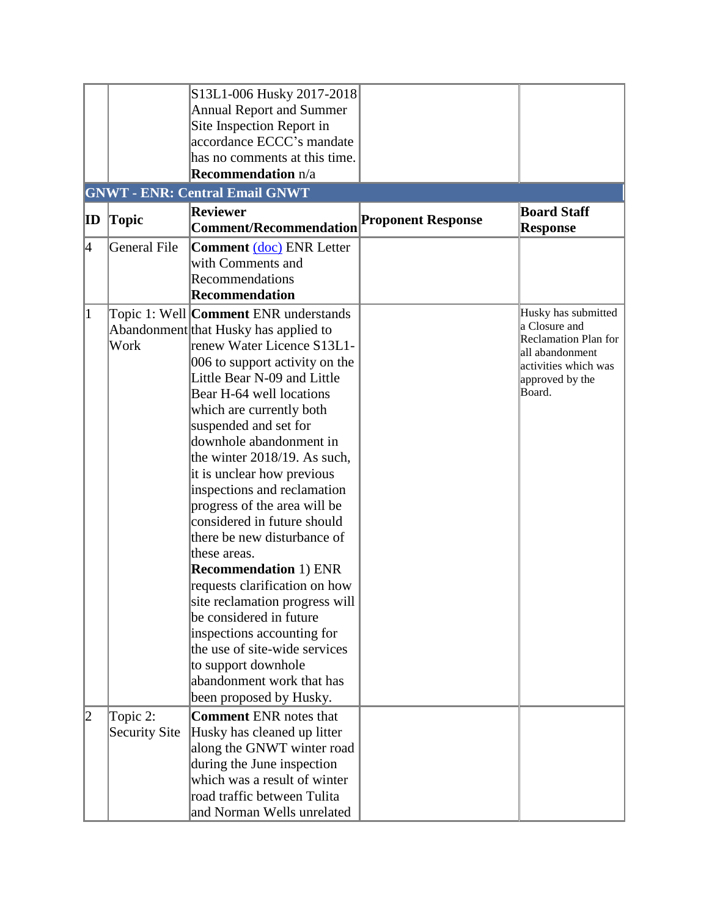|              |               | S13L1-006 Husky 2017-2018             |                           |                             |
|--------------|---------------|---------------------------------------|---------------------------|-----------------------------|
|              |               | <b>Annual Report and Summer</b>       |                           |                             |
|              |               | Site Inspection Report in             |                           |                             |
|              |               |                                       |                           |                             |
|              |               | accordance ECCC's mandate             |                           |                             |
|              |               | has no comments at this time.         |                           |                             |
|              |               | <b>Recommendation</b> n/a             |                           |                             |
|              |               | <b>GNWT - ENR: Central Email GNWT</b> |                           |                             |
|              |               | <b>Reviewer</b>                       |                           | <b>Board Staff</b>          |
| $ {\rm ID} $ | <b>Topic</b>  | <b>Comment/Recommendation</b>         | <b>Proponent Response</b> | <b>Response</b>             |
| 4            | General File  | <b>Comment</b> (doc) ENR Letter       |                           |                             |
|              |               | with Comments and                     |                           |                             |
|              |               | Recommendations                       |                           |                             |
|              |               | <b>Recommendation</b>                 |                           |                             |
| $\vert$ 1    |               |                                       |                           | Husky has submitted         |
|              |               | Topic 1: Well Comment ENR understands |                           | a Closure and               |
|              |               | Abandonment that Husky has applied to |                           | <b>Reclamation Plan for</b> |
|              | Work          | renew Water Licence S13L1-            |                           | all abandonment             |
|              |               | 006 to support activity on the        |                           | activities which was        |
|              |               | Little Bear N-09 and Little           |                           | approved by the             |
|              |               | Bear H-64 well locations              |                           | Board.                      |
|              |               | which are currently both              |                           |                             |
|              |               | suspended and set for                 |                           |                             |
|              |               | downhole abandonment in               |                           |                             |
|              |               | the winter 2018/19. As such,          |                           |                             |
|              |               | it is unclear how previous            |                           |                             |
|              |               | inspections and reclamation           |                           |                             |
|              |               | progress of the area will be          |                           |                             |
|              |               | considered in future should           |                           |                             |
|              |               | there be new disturbance of           |                           |                             |
|              |               | these areas.                          |                           |                             |
|              |               | <b>Recommendation 1) ENR</b>          |                           |                             |
|              |               | requests clarification on how         |                           |                             |
|              |               | site reclamation progress will        |                           |                             |
|              |               | be considered in future               |                           |                             |
|              |               | inspections accounting for            |                           |                             |
|              |               | the use of site-wide services         |                           |                             |
|              |               | to support downhole                   |                           |                             |
|              |               | abandonment work that has             |                           |                             |
|              |               |                                       |                           |                             |
|              |               | been proposed by Husky.               |                           |                             |
| 12           | Topic 2:      | <b>Comment ENR notes that</b>         |                           |                             |
|              | Security Site | Husky has cleaned up litter           |                           |                             |
|              |               | along the GNWT winter road            |                           |                             |
|              |               | during the June inspection            |                           |                             |
|              |               | which was a result of winter          |                           |                             |
|              |               | road traffic between Tulita           |                           |                             |
|              |               | and Norman Wells unrelated            |                           |                             |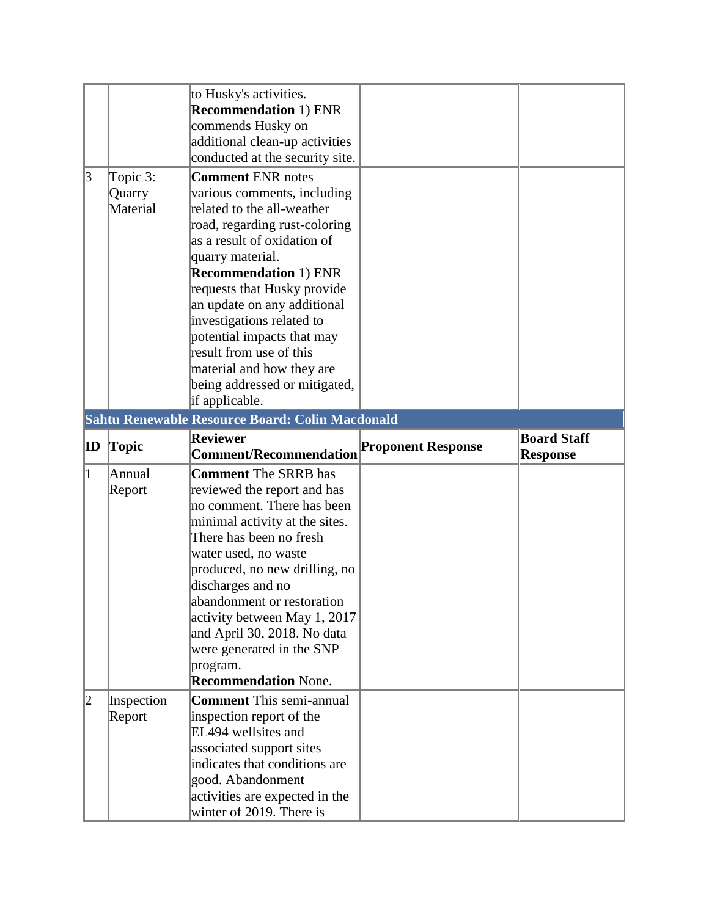|                 |                                | to Husky's activities.<br><b>Recommendation 1) ENR</b><br>commends Husky on<br>additional clean-up activities<br>conducted at the security site.                                                                                                                                                                                                                                                                                              |                           |                                       |
|-----------------|--------------------------------|-----------------------------------------------------------------------------------------------------------------------------------------------------------------------------------------------------------------------------------------------------------------------------------------------------------------------------------------------------------------------------------------------------------------------------------------------|---------------------------|---------------------------------------|
| $\vert 3 \vert$ | Topic 3:<br>Quarry<br>Material | <b>Comment ENR notes</b><br>various comments, including<br>related to the all-weather<br>road, regarding rust-coloring<br>as a result of oxidation of<br>quarry material.<br><b>Recommendation 1) ENR</b><br>requests that Husky provide<br>an update on any additional<br>investigations related to<br>potential impacts that may<br>result from use of this<br>material and how they are<br>being addressed or mitigated,<br>if applicable. |                           |                                       |
|                 |                                | Sahtu Renewable Resource Board: Colin Macdonald                                                                                                                                                                                                                                                                                                                                                                                               |                           |                                       |
| ID              | <b>Topic</b>                   | <b>Reviewer</b><br><b>Comment/Recommendation</b>                                                                                                                                                                                                                                                                                                                                                                                              | <b>Proponent Response</b> | <b>Board Staff</b><br><b>Response</b> |
| $\vert$ 1       | Annual<br>Report               | <b>Comment</b> The SRRB has<br>reviewed the report and has<br>no comment. There has been<br>minimal activity at the sites.<br>There has been no fresh<br>water used, no waste<br>produced, no new drilling, no<br>discharges and no<br>abandonment or restoration<br>activity between May 1, 2017<br>and April 30, 2018. No data<br>were generated in the SNP<br>program.<br><b>Recommendation None.</b>                                      |                           |                                       |
| 2               | Inspection<br>Report           | <b>Comment</b> This semi-annual<br>inspection report of the<br>EL494 wellsites and<br>associated support sites<br>indicates that conditions are                                                                                                                                                                                                                                                                                               |                           |                                       |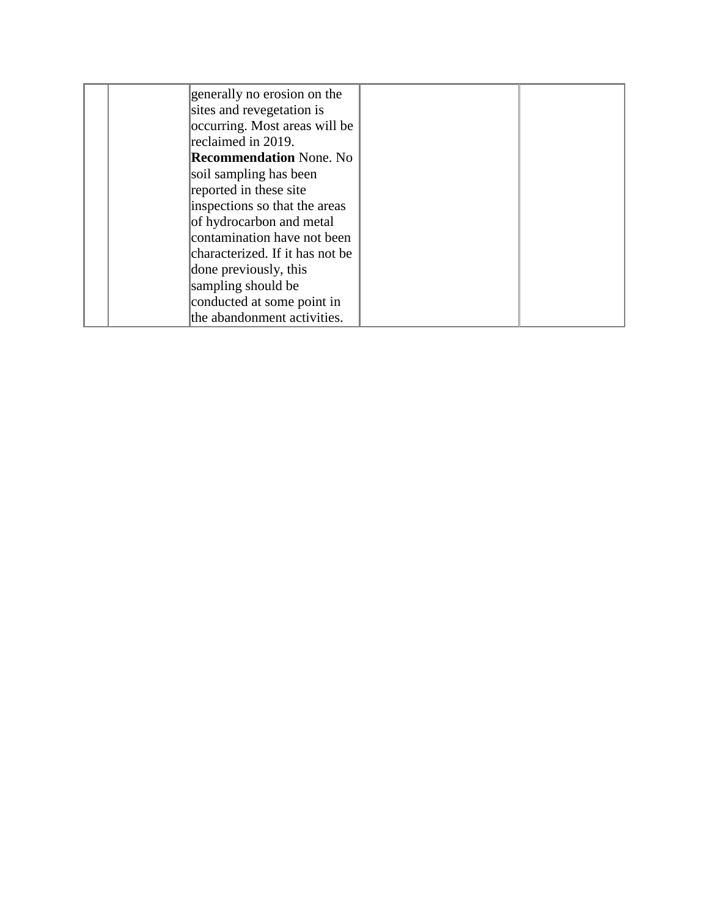| generally no erosion on the     |  |
|---------------------------------|--|
| sites and revegetation is       |  |
| occurring. Most areas will be   |  |
| reclaimed in 2019.              |  |
| <b>Recommendation None. No</b>  |  |
| soil sampling has been          |  |
| reported in these site          |  |
| inspections so that the areas   |  |
| of hydrocarbon and metal        |  |
| contamination have not been     |  |
| characterized. If it has not be |  |
| done previously, this           |  |
| sampling should be              |  |
| conducted at some point in      |  |
| the abandonment activities.     |  |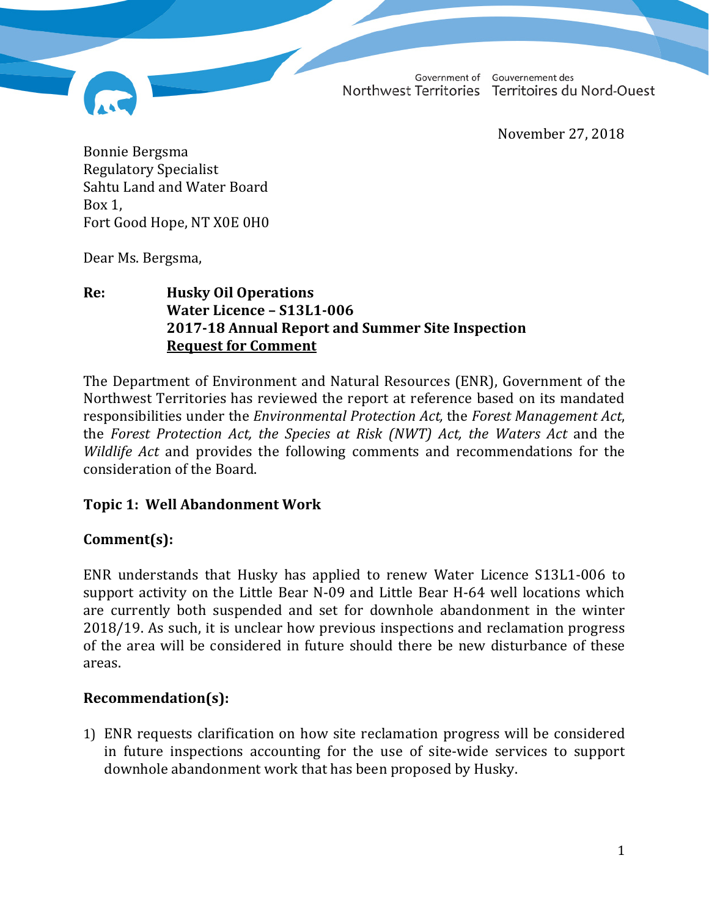Government of Northwest Territories

Gouvernement des Territoires du Nord-Ouest

November 27, 2018

Bonnie Bergsma Regulatory Specialist Sahtu Land and Water Board Box 1, Fort Good Hope, NT X0E 0H0

Dear Ms. Bergsma,

#### **Re: Husky Oil Operations Water Licence – S13L1-006 2017-18 Annual Report and Summer Site Inspection Request for Comment**

The Department of Environment and Natural Resources (ENR), Government of the Northwest Territories has reviewed the report at reference based on its mandated responsibilities under the *Environmental Protection Act,* the *Forest Management Act*, the *Forest Protection Act, the Species at Risk (NWT) Act, the Waters Act* and the *Wildlife Act* and provides the following comments and recommendations for the consideration of the Board.

#### **Topic 1: Well Abandonment Work**

#### **Comment(s):**

ENR understands that Husky has applied to renew Water Licence S13L1-006 to support activity on the Little Bear N-09 and Little Bear H-64 well locations which are currently both suspended and set for downhole abandonment in the winter 2018/19. As such, it is unclear how previous inspections and reclamation progress of the area will be considered in future should there be new disturbance of these areas.

#### **Recommendation(s):**

1) ENR requests clarification on how site reclamation progress will be considered in future inspections accounting for the use of site-wide services to support downhole abandonment work that has been proposed by Husky.